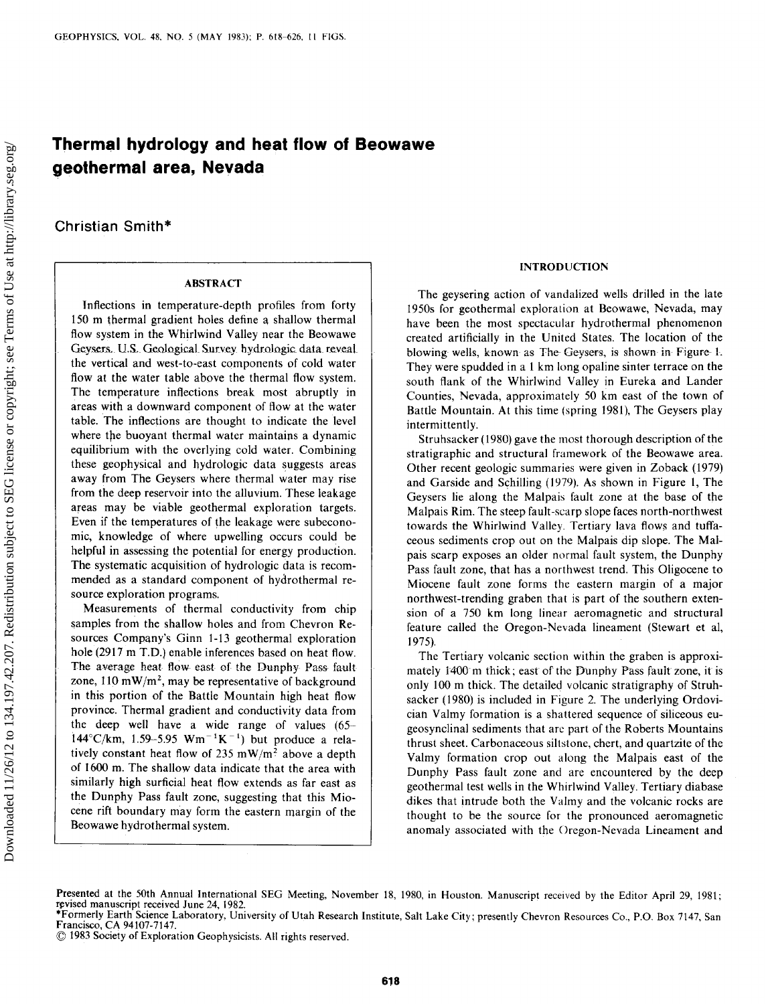# **Thermal hydrology and heat flow of Beowawe geothermal area, Nevada**

**Christian Smith\*** 

#### **ABSTRACT**

**Inflections in temperature-depth profiles from forty 150 m thermal gradient holes define a shallow thermal flow system in the Whirlwind Valley near the Beowawe**  Geysers. U.S. Geological Survey hydrologic data reveal **the vertical and west-to-east components of cold water flow at the water table above the thermal flow system. The temperature inflections break most abruptly in areas with a downward component of flow at the water table. The inflections are thought to indicate the level where the buoyant thermal water maintains a dynamic equilibrium with the overlying cold water. Combining these geophysical and hydrologic data suggests areas away from The Geysers where thermal water may rise from the deep reservoir into the alluvium. These leakage areas may be viable geothermal exploration targets. Even if the temperatures of the leakage were subeconomic, knowledge of where upwelling occurs could be helpful in assessing the potential for energy production. The systematic acquisition of hydrologic data is recommended as a standard component of hydrothermal resource exploration programs.** 

**Measurements of thermal conductivity from chip samples from the shallow holes and from Chevron Re**sources Company's Ginn 1-13 geothermal exploration **hole (2917 m T.D.) enable inferences based on heat flow.**  The average heat flow east of the Dunphy Pass fault **zone, 110 mW/m', may be representative of background in this portion of the Battle Mountain high heat flow province. Thermal gradient and conductivity data from**  the deep well have a wide range of values (65– **l44"C/km, 1.59-5.95 Wm~'K~') but produce a relatively constant heat flow of 235 mW/m? above a depth of 1600 m. The shallow data indicate that the area with similarly high surficial heat flow extends as far east as the Dunphy Pass fault zone, suggesting that this Miocene rift boundary may form the eastern margin of the Beowawe hydrothermal system.** 

## **INTRODUCTION**

**The geysering action of vandalized wells drilled in the late 1950s for geothermal exploration at Beowawe, Nevada, may have been the most spectacular hydrothermal phenomenon created artificially in the United States. The location of the blowing wells, known as The Geysers, is shown in Figure l. They were spudded in a 1 km long opaline sinter terrace on the south flank of the Whirlwind Valley in Eureka and Lander Counties, Nevada, approximately 50 km east of the town of Battle Mountain. At this time (spring 1981) The Geysers play intermittently.** 

**Struhsacker (1980) gave the most thorough description of the stratigraphic and structural framework of the Beowawe area. Other recent geologic summaries were given in Zoback (1979)**  and Garside and Schilling (1979). As shown in Figure 1, The **Geysers lie along the Malpais fault zone at the base of the Malpais Rim. The steep fault-scarp slope faces north-northwest towards the Whirlwind Valley. Tertiary lava flows and tuffaceous sediments crop out on the Malpais dip slope. The Malpais scarp exposes an older normal fault system, the Dunphy Pass fault zone, that has a northwest trend. This Oligocene to Miocene fault zone forms the eastern margin of a major northwest-trending graben that is part of the southern extension of a 750 km long linear aeromagnetic and structural feature called the Oregon-Nevada lineament (Stewart et al, 1975).** 

**The Tertiary volcanic section within the graben is approxi**mately 1400 m thick; east of the Dunphy Pass fault zone, it is **only 100 m thick. The detailed volcanic stratigraphy of Struhsacker (1980) is included in Figure 2. The underlying Ordovician Valmy formation is a shattered sequence of siliceous eugeosynclinal sediments that are part of the Roberts Mountains thrust sheet. Carbonaceous siltstone, chert, and quartzite of the Valmy formation crop out along the Malpais east of the Dunphy Pass fault zone and are encountered by the deep geothermal test wells in the Whirlwind Valley. Tertiary diabase dikes that intrude both the Yalmy and the volcanic rocks are thought to be the source for the pronounced aeromagnetic anomaly associated with the Oregon-Nevada Lineament and** 

Presented at the 50th Annual International SEG Meeting, November 18, 1980, in Houston. Manuscript received by the Editor April 29, 1981; **revised manuscript received June 24, 1982. \*Formerly Earth Science Laboratory, University of Utah Research Institute, Salt Lake City; presently Chevron Resources Co., P.O. Box 7147, San** 

**Francisco, CA 94107-7147. 0 1983 Society of Exploration Geophysicists. All rights reserved.**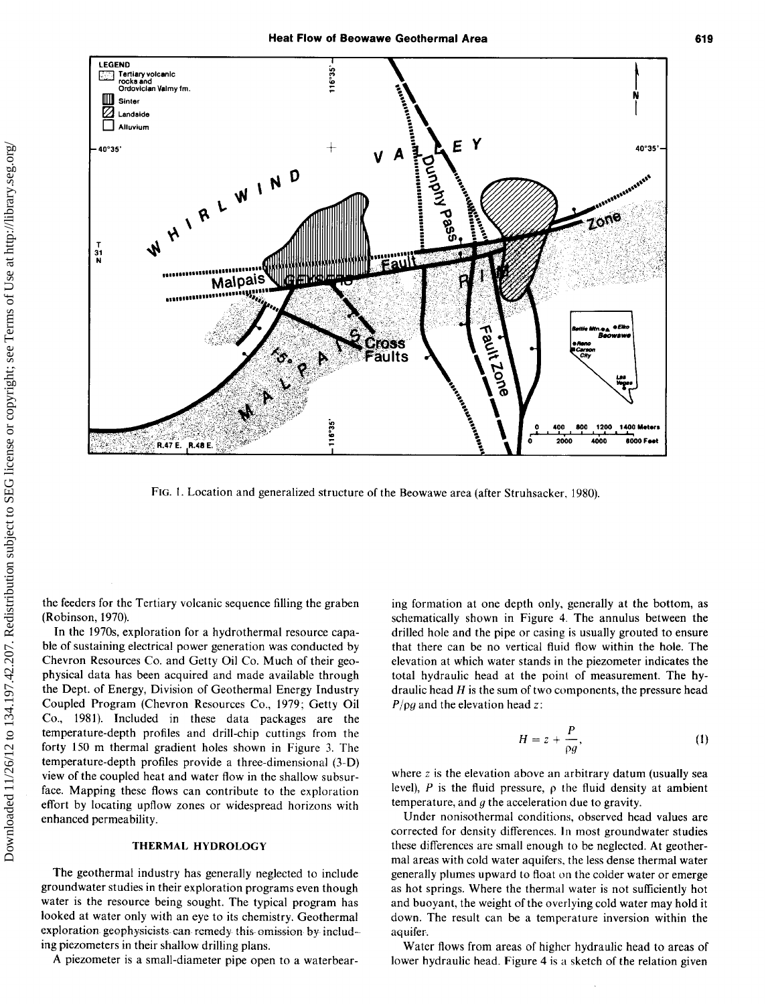

**FIG. 1. Location and generalized structure of the Beowawe area (after Struhsacker, 1980).** 

**the feeders for the Tertiary volcanic sequence filling the graben (Robinson, 1970).** 

In the 1970s, exploration for a hydrothermal resource capa**ble of sustaining electrical power generation was conducted by Chevron Resources Co. and Getty Oil Co. Much of their geophysical data has been acquired and made available through the Dept. of Energy, Division of Geothermal Energy Industry Coupled Program (Chevron Resources Co., 1979; Getty Oil Co., 1981). Included in these data packages are the temperature-depth profiles and drill-chip cuttings from the forty 150 m thermal gradient holes shown in Figure 3. The temperature-depth profiles provide a three-dimensional (3-D) view of the coupled heat and water flow in the shallow subsurface. Mapping these flows can contribute to the exploration effort by locating upflow zones or widespread horizons with enhanced permeability.** 

#### **THERMAL HYDROLOGY**

**The geothermal industry has generally neglected to include groundwater studies in their exploration programs even though water is the resource being sought. The typical program has looked at water only with an eye to its chemistry. Geothermal**  exploration geophysicists can remedy this omission by includ**ing piezometers in their shallow drilling plans.** 

**A piezometer is a small-diameter pipe open to a waterbear-**

**ing formation at one depth only, generally at the bottom, as schematically shown in Figure 4. The annulus between the drilled hole and the pipe or casing is usually grouted to ensure that there can be no vertical fluid flow within the hole. The elevation at which water stands in the piezometer indicates the total hydraulic head at the point of measurement. The hydraulic head H is the sum of two components, the pressure head P/py and the elevation head z:** 

$$
H = z + \frac{P}{\rho g},\tag{1}
$$

**where z is the elevation above an arbitrary datum (usually sea**  level),  $P$  is the fluid pressure,  $\rho$  the fluid density at ambient **temperature, and y the acceleration due to gravity.** 

**Under nonisothermal conditions, observed head values are corrected for density differences. In most groundwater studies these differences are small enough to be neglected. At geothermal areas with cold water aquifers, the less dense thermal water generally plumes upward to float on the colder water or emerge as hot springs. Where the thermal water is not sufficiently hot and buoyant, the weight of the overlying cold water may hold it down. The result can be a temperature inversion within the aquifer.** 

**Water flows from areas of higher hydraulic head to areas of lower hydraulic head. Figure 4 is a sketch of the relation given**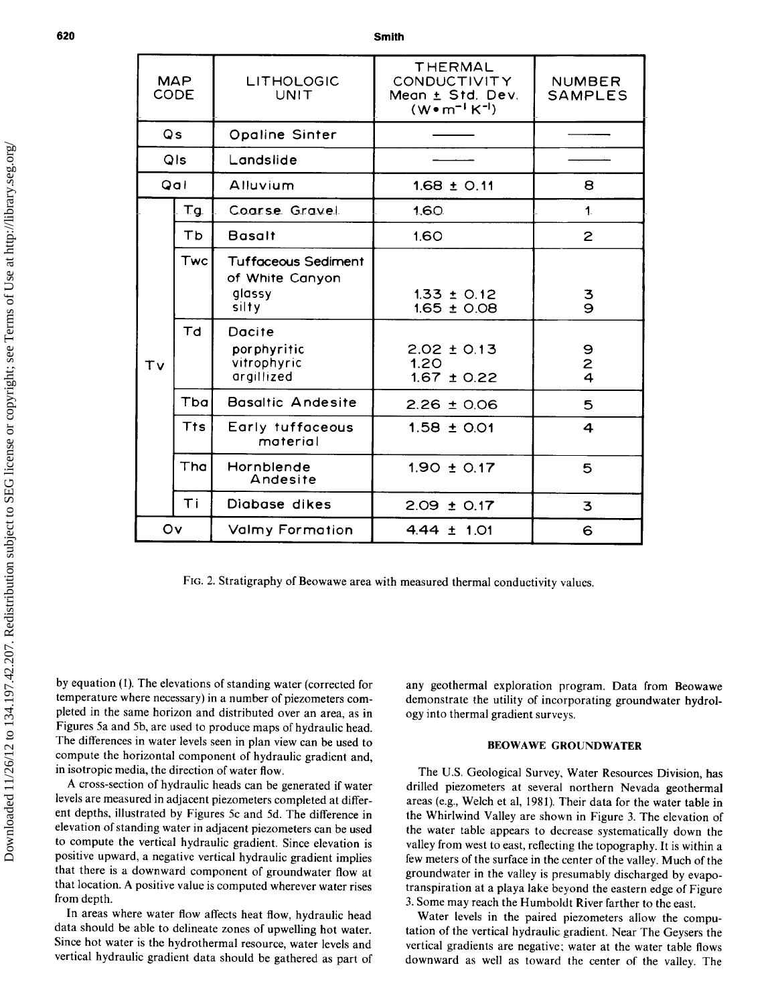Smith

| <b>MAP</b><br><b>CODE</b> |            | LITHOLOGIC<br>UNIT                                               | THERMAL<br>CONDUCTIVITY<br>Mean ± Std. Dev.<br>$(W \cdot m^{-1} K^{-1})$ | <b>NUMBER</b><br><b>SAMPLES</b> |
|---------------------------|------------|------------------------------------------------------------------|--------------------------------------------------------------------------|---------------------------------|
| $\mathsf{Q}_\mathsf{S}$   |            | <b>Opaline Sinter</b>                                            |                                                                          |                                 |
| QIs                       |            | Landslide                                                        |                                                                          |                                 |
| Qai                       |            | Alluvium                                                         | $1.68 \pm 0.11$                                                          | 8                               |
| Tv                        | Tq         | Coarse Gravel                                                    | 1.60                                                                     | $\mathbf{1}$                    |
|                           | Tb         | <b>Basalt</b>                                                    | 1.60                                                                     | 2                               |
|                           | <b>Twc</b> | <b>Tuffaceous Sediment</b><br>of White Canyon<br>glassy<br>silty | $133 \pm 0.12$<br>$1.65 \pm 0.08$                                        | 3<br>9                          |
|                           | Td         | Dacite<br>porphyritic<br>vitrophyric<br>argillized               | $2.02 \pm 0.13$<br>1.20<br>$1.67 \pm 0.22$                               | 9<br>$\frac{2}{4}$              |
|                           | Tba        | <b>Basaltic Andesite</b>                                         | $2.26 \pm 0.06$                                                          | 5                               |
|                           | Tts:       | Early tuffaceous<br>material                                     | $1.58 \pm 0.01$                                                          | 4                               |
|                           | Tha        | Hornblende<br>Andesite                                           | $1.90 \pm 0.17$                                                          | 5                               |
|                           | Τi         | Diabase dikes                                                    | $2.09 \pm 0.17$                                                          | 3                               |
| O <sub>V</sub>            |            | <b>Valmy Formation</b>                                           | $4.44 \pm 1.01$                                                          | 6                               |

FIG. 2. Stratigraphy of Beowawe area with measured thermal conductivity values.

by equation (1). The elevations of standing water (corrected for temperature where necessary) in a number of piezometers completed in the same horizon and distributed over an area, as in Figures 5a and 5b, are used to produce maps of hydraulic head. The differences in water levels seen in plan view can be used to compute the horizontal component of hydraulic gradient and, in isotropic media, the direction of water flow.

A cross-section of hydraulic heads can be generated if water levels are measured in adjacent piezometers completed at different depths, illustrated by Figures 5c and 5d. The difference in elevation of standing water in adjacent piezometers can be used to compute the vertical hydraulic gradient. Since elevation is positive upward, a negative vertical hydraulic gradient implies that there is a downward component of groundwater flow at that location. A positive value is computed wherever water rises from depth.

In areas where water flow affects heat flow, hydraulic head data should be able to delineate zones of upwelling hot water. Since hot water is the hydrothermal resource, water levels and vertical hydraulic gradient data should be gathered as part of any geothermal exploration program. Data from Beowawe demonstrate the utility of incorporating groundwater hydrology into thermal gradient surveys.

#### **BEOWAWE GROUNDWATER**

The U.S. Geological Survey, Water Resources Division, has drilled piezometers at several northern Nevada geothermal areas (e.g., Welch et al, 1981). Their data for the water table in the Whirlwind Valley are shown in Figure 3. The elevation of the water table appears to decrease systematically down the valley from west to east, reflecting the topography. It is within a few meters of the surface in the center of the valley. Much of the groundwater in the valley is presumably discharged by evapotranspiration at a playa lake beyond the eastern edge of Figure 3. Some may reach the Humboldt River farther to the east.

Water levels in the paired piezometers allow the computation of the vertical hydraulic gradient. Near The Geysers the vertical gradients are negative; water at the water table flows downward as well as toward the center of the valley. The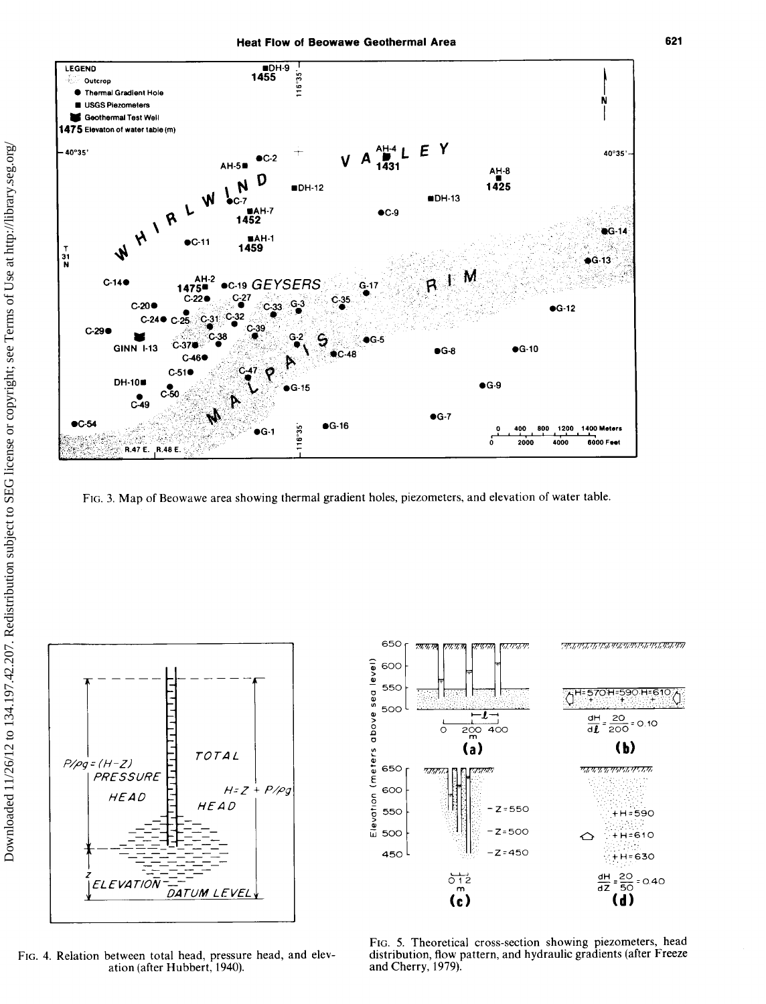

FIG. 3. Map of Beowawe area showing thermal gradient holes, piezometers, and elevation of water table.



FIG. 4. Relation between total head, pressure head, and elevation (after Hubbert, 1940).



FIG. 5. Theoretical cross-section showing piezometers, head distribution, flow pattern, and hydraulic gradients (after Freeze and Cherry, 1979).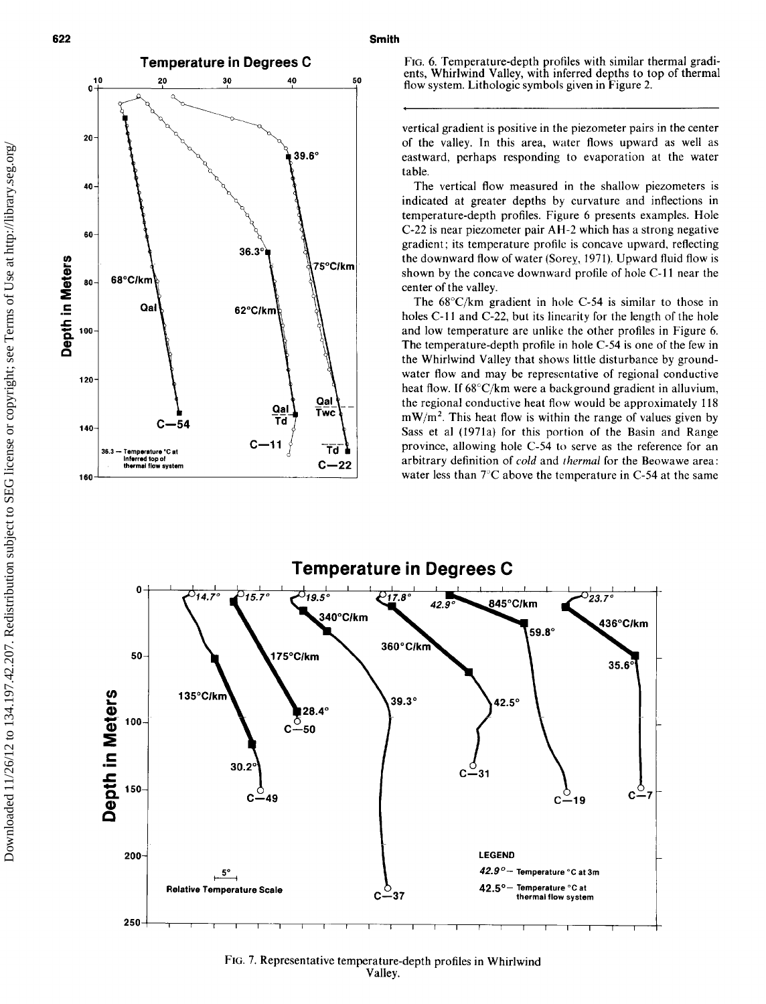

**FIG. 6. Temperature-depth profiles with similar thermal gradients, Whirlwind Valley, with inferred depths to top of thermal flow system. Lithologic symbols given in Figure 2.** 

**vertical gradient is positive in the piezometer pairs in the center of the valley. In this area, water flows upward as well as eastward, perhaps responding to evaporation at the water table.** 

**The vertical flow measured in the shallow piezometers is indicated at greater depths by curvature and inflections in temperature-depth profiles. Figure 6 presents examples. Hole C-22 is near piezometer pair AH-2 which has a strong negative gradient; its temperature profile is concave upward, reflecting the downward flow of water (Sorey, 1971). Upward fluid flow is**  shown by the concave downward profile of hole C-11 near the **center of the valley.** 

**The 68"C/km gradient in hole C-54 is similar to those in holes C-l 1 and C-22, but its linearity for the length of the hole and low temperature are unlike the other profiles in Figure 6. The temperature-depth profile in hole C-54 is one of the few in the Whirlwind Valley that shows little disturbance by groundwater flow and may be representative of regional conductive heat flow. If 68'C/km were a background gradient in alluvium, the regional conductive heat flow would be approximately 118 mW/m'. This heat flow is within the range of values given by Sass et al (1971a) for this portion of the Basin and Range province, allowing hole C-54 to serve as the reference for an arbitrary definition of cold and /hermal for the Beowawe area: water less than 7°C above the temperature in C-54 at the same** 



**FIG. 7. Representative temperature-depth profiles in Whirlwind Valley.**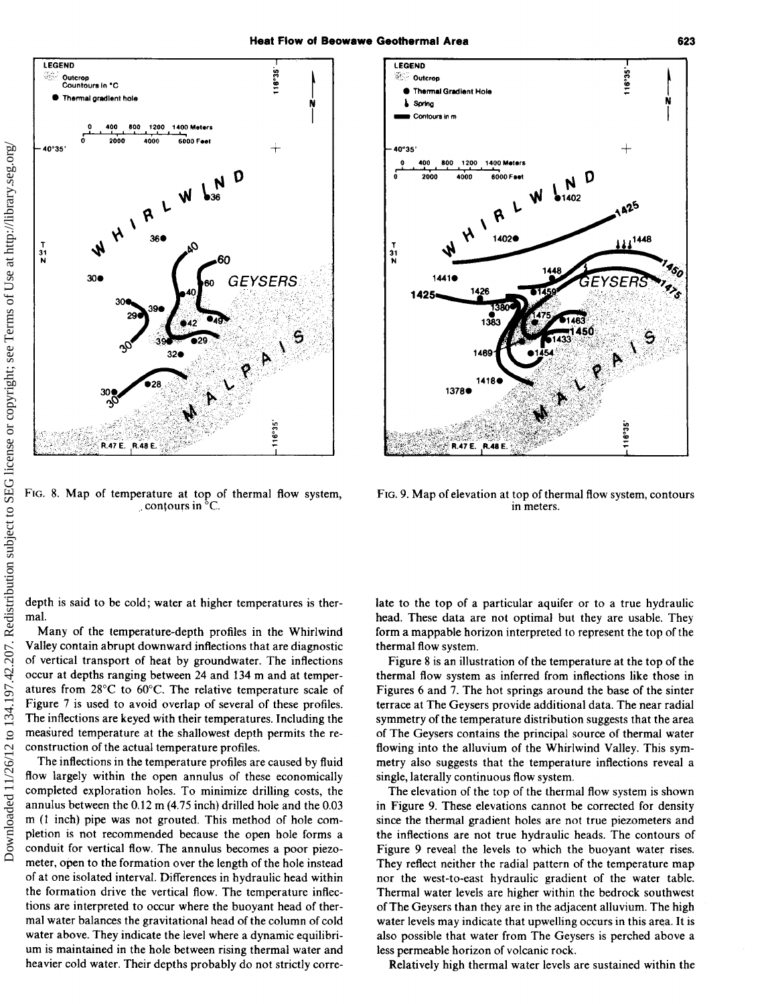

FIG. 8. Map of temperature at top of thermal flow system, **., contours in "C.** 



**FIG. 9. Map of elevation at top of thermal flow system, contours in meters.** 

**depth is said to be cold; water at higher temperatures is thermal.** 

**Many of the temperature-depth profiles in the Whirlwind Valley contain abrupt downward inflections that are diagnostic of vertical transport of heat by groundwater. The inflections occur at depths ranging between 24 and 134 m and at temperatures from 28°C to 60°C. The relative temperature scale of Figure 7 is used to avoid overlap of several of these profiles. The inflections are keyed with their temperatures. Including the measured temperature at the shallowest depth permits the reconstruction of the actual temperature profiles.** 

**The inflections in the temperature profiles are caused by fluid flow largely within the open annulus of these economically completed exploration holes. To minimize drilling costs, the annulus between the 0.12 m (4.75 inch) drilled hole and the 0.03 m (1 inch) pipe was not grouted. This method of hole completion is not recommended because the open hole forms a conduit for vertical flow. The annulus becomes a poor piezometer, open to the formation over the length of the hole instead of at one isolated interval. Differences in hydraulic head within the formation drive the vertical flow. The temperature inflections are interpreted to occur where the buoyant head of thermal water balances the gravitational head of the column of cold water above. They indicate the level where a dynamic equilibrium is maintained in the hole between rising thermal water and heavier cold water. Their depths probably do not strictly corre-** **late to the top of a particular aquifer or to a true hydraulic head. These data are not optimal but they are usable. They form a mappable horizon interpreted to represent the top of the thermal flow system.** 

**Figure 8 is an illustration of the temperature at the top of the thermal flow system as inferred from inflections like those in Figures 6 and 7. The hot springs around the base of the sinter terrace at The Geysers provide additional data. The near radial symmetry of the temperature distribution suggests that the area of The Geysers contains the principal source of thermal water flowing into the alluvium of the Whirlwind Valley. This symmetry also suggests that the temperature inflections reveal a single, laterally continuous flow system.** 

**The elevation of the top of the thermal flow system is shown in Figure 9. These elevations cannot be corrected for density since the thermal gradient holes are not true piezometers and the inflections are not true hydraulic heads. The contours of Figure 9 reveal the levels to which the buoyant water rises. They reflect neither the radial pattern of the temperature map nor the west-to-east hydraulic gradient of the water table. Thermal water levels are higher within the bedrock southwest of The Geysers than they are in the adjacent alluvium. The high water levels may indicate that upwelling occurs in this area. It is also possible that water from The Geysers is perched above a less permeable horizon of volcanic rock.** 

**Relatively high thermal water levels are sustained within the**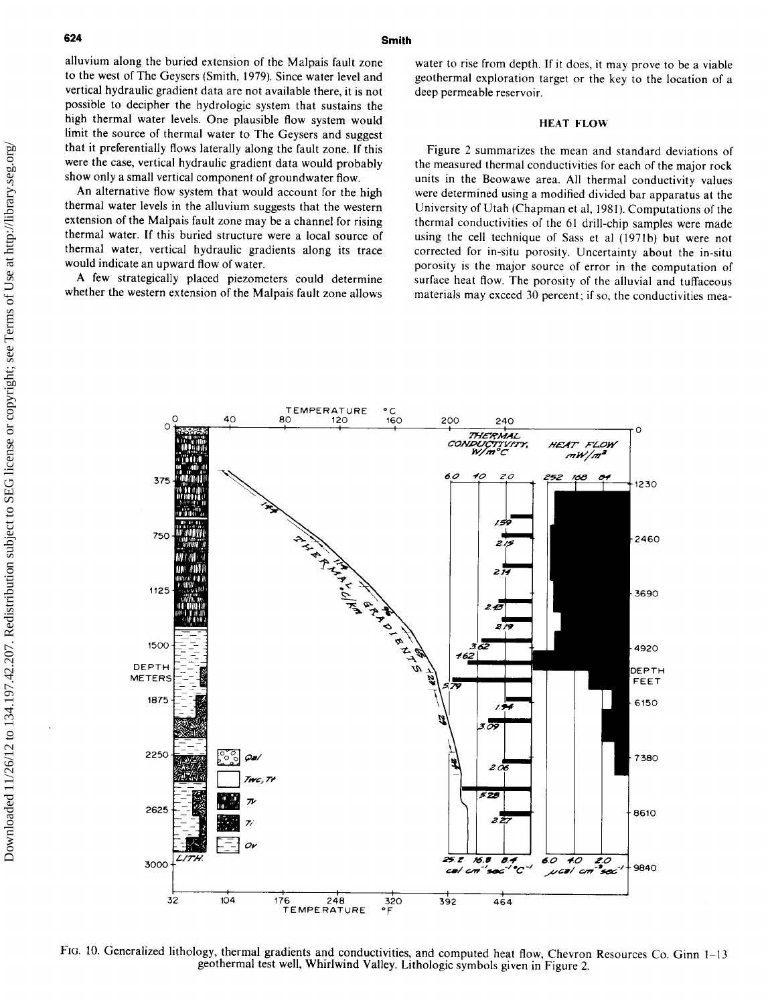**alluvium along the buried extension of the Malpais fault zone to the west of The Geysers (Smith, 1979). Since water level and vertical hydraulic gradient data are not available there, it is not possible to decipher the hydrologic system that sustains the high thermal water levels. One plausible flow system would limit the source of thermal water to The Geysers and suggest that it preferentially flows laterally along the fault zone. If this were the case, vertical hydraulic gradient data would probably show only a small vertical component of groundwater flow.** 

**An alternative flow system that would account for the high thermal water levels in the alluvium suggests that the western extension of the Malpais fault zone may be a channel for rising thermal water. If this buried structure were a local source of thermal water, vertical hydraulic gradients along its trace would indicate an upward flow of water.** 

**A few strategically placed piezometers could determine whether the western extension of the Malpais fault zone allows**  **water to rise from depth. If it does, it may prove to be a viable geothermal exploration target or the key to the location of a deep permeable reservoir.** 

#### **HEAT FLOW**

**Figure 2 summarizes the mean and standard deviations of the measured thermal conductivities for each of the major rock units in the Beowawe area. All thermal conductivity values were determined using a modified divided bar apparatus at the University of Utah (Chapman et al, 198 1). Computations of the thermal conductivities of the 61 drill-chip samples were made using the cell technique of Sass et al (1971b) but were not corrected for in-situ porosity. Uncertainty about the in-situ porosity is the major source of error in the computation of surface heat flow. The porosity of the alluvial and tuffaceous materials may exceed 30 percent; if so, the conductivities mea-**



**FIG. 10. Generalized hthology, thermal gradients and conductivities, and computed heat flow, Chevron Resources Co. Ginn I-13 geothermal test well, Whirlwind Valley. Lithologic symbols given in Figure 2.**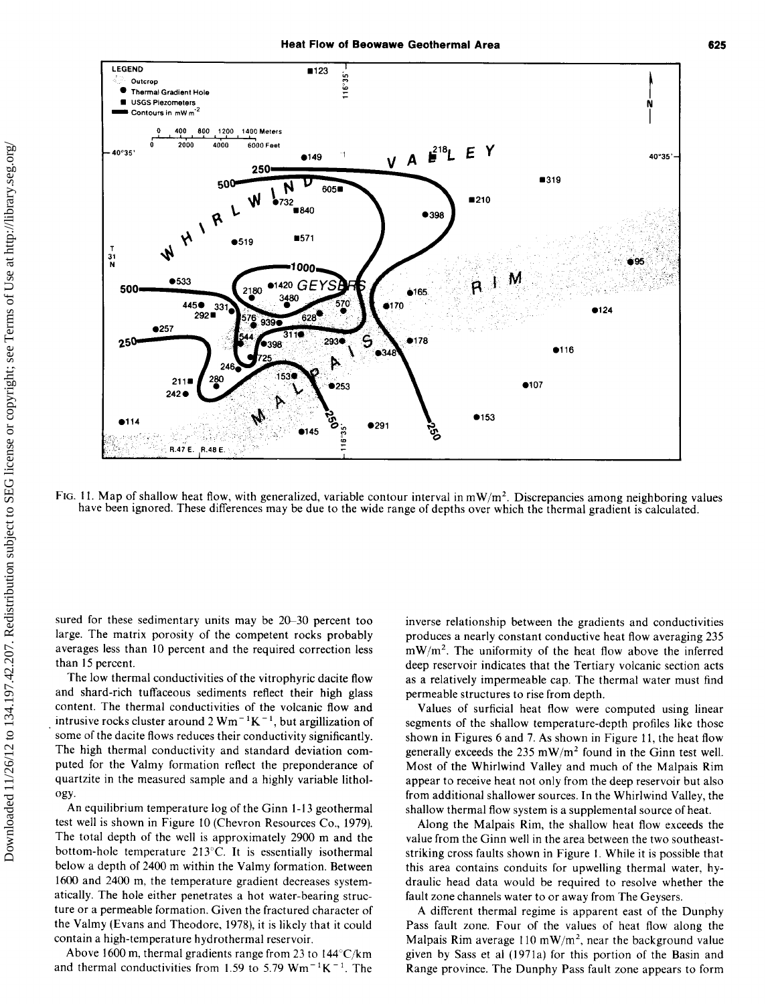**Heat Flow of Beowawe Geothermal Area** 



**FIG. 11. Map of shallow heat how, with generalized, variable contour interval in mW/m'. Discrepancies among neighboring values have been ignored. These differences may be due to the wide range of depths over which the thermal gradient is calculated.** 

**sured for these sedimentary units may be 2@30 percent too large. The matrix porosity of the competent rocks probably averages less than 10 percent and the required correction less than 15 percent.** 

**The low thermal conductivities of the vitrophyric dacite flow and shard-rich tuffaceous sediments reflect their high glass content. The thermal conductivities of the volcanic flow and intrusive rocks cluster around 2 Wm<sup>-1</sup>K<sup>-1</sup>, but argillization of some of the dacite flows reduces their conductivity significantly. The high thermal conductivity and standard deviation computed for the Valmy formation reflect the preponderance of quartzite in the measured sample and a highly variable lithology.** 

An equilibrium temperature log of the Ginn 1-13 geothermal **test well is shown in Figure IO (Chevron Resources Co., 1979). The total depth of the well is approximately 2900 m and the bottom-hole temperature 213°C. It is essentially isothermal below a depth of 2400 m within the Valmy formation. Between 1600 and 2400 m, the temperature gradient decreases systematically. The hole either penetrates a hot water-bearing structure or a permeable formation. Given the fractured character of the Valmy (Evans and Theodore, 1978) it is likely that it could contain a high-temperature hydrothermal reservoir.** 

**Above 1600 m, thermal gradients range from 23 to 144"C/km**  and thermal conductivities from 1.59 to 5.79  $Wm^{-1}K^{-1}$ . The **inverse relationship between the gradients and conductivities produces a nearly constant conductive heat flow averaging 235 mW/m'. The uniformity of the heat flow above the inferred deep reservoir indicates that the Tertiary volcanic section acts as a relatively impermeable cap. The thermal water must find permeable structures to rise from depth.** 

**Values of surficial heat flow were computed using linear segments of the shallow temperature-depth profiles like those shown in Figures 6 and 7. As shown in Figure 11, the heat flow generally exceeds the 235 mW/m' found in the Ginn test well. Most of the Whirlwind Valley and much of the Malpais Rim appear to receive heat not only from the deep reservoir but also from additional shallower sources. In the Whirlwind Valley, the shallow thermal flow system is a supplemental source of heat.** 

**Along the Malpais Rim, the shallow heat flow exceeds the value from the Ginn well in the area between the two southeaststriking cross faults shown in Figure 1. While it is possible that this area contains conduits for upwelling thermal water, hydraulic head data would be required to resolve whether the fault zone channels water to or away from The Geysers.** 

**A different thermal regime is apparent east of the Dunphy Pass fault zone. Four of the values of heat flow along the Malpais Rim average 110 mW/m', near the background value given by Sass et al (1971a) for this portion of the Basin and Range province. The Dunphy Pass fault zone appears to form**